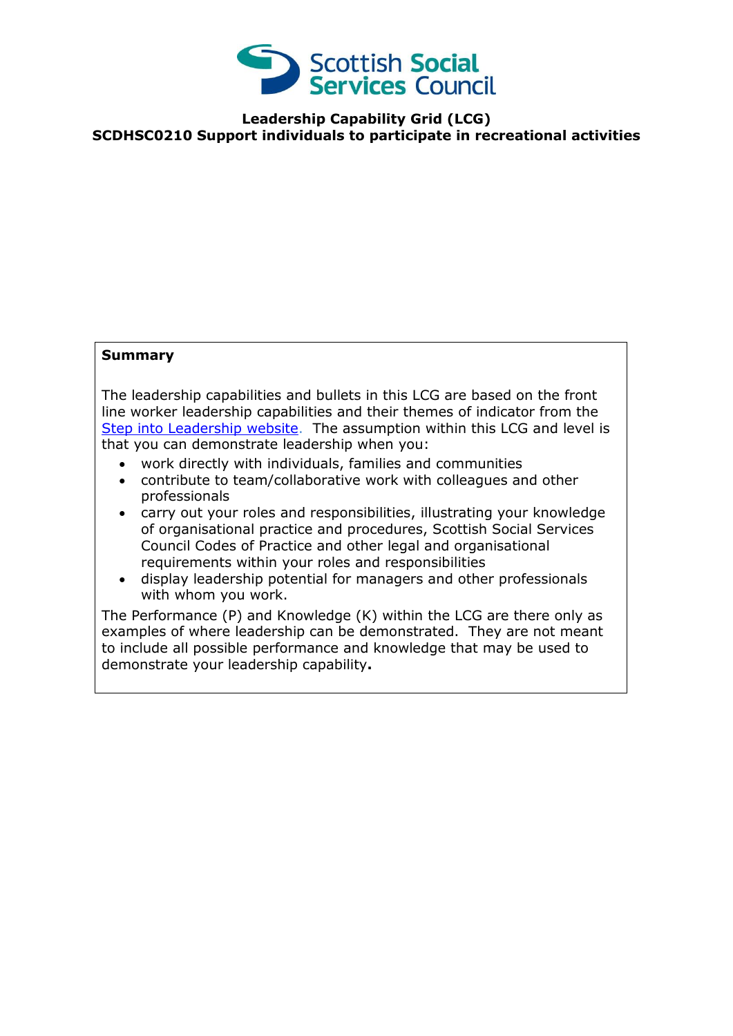

**Leadership Capability Grid (LCG) SCDHSC0210 Support individuals to participate in recreational activities** 

## **Summary**

The leadership capabilities and bullets in this LCG are based on the front line worker leadership capabilities and their themes of indicator from the [Step into Leadership website.](http://www.stepintoleadership.info/) The assumption within this LCG and level is that you can demonstrate leadership when you:

- work directly with individuals, families and communities
- contribute to team/collaborative work with colleagues and other professionals
- carry out your roles and responsibilities, illustrating your knowledge of organisational practice and procedures, Scottish Social Services Council Codes of Practice and other legal and organisational requirements within your roles and responsibilities
- display leadership potential for managers and other professionals with whom you work.

The Performance (P) and Knowledge (K) within the LCG are there only as examples of where leadership can be demonstrated. They are not meant to include all possible performance and knowledge that may be used to demonstrate your leadership capability**.**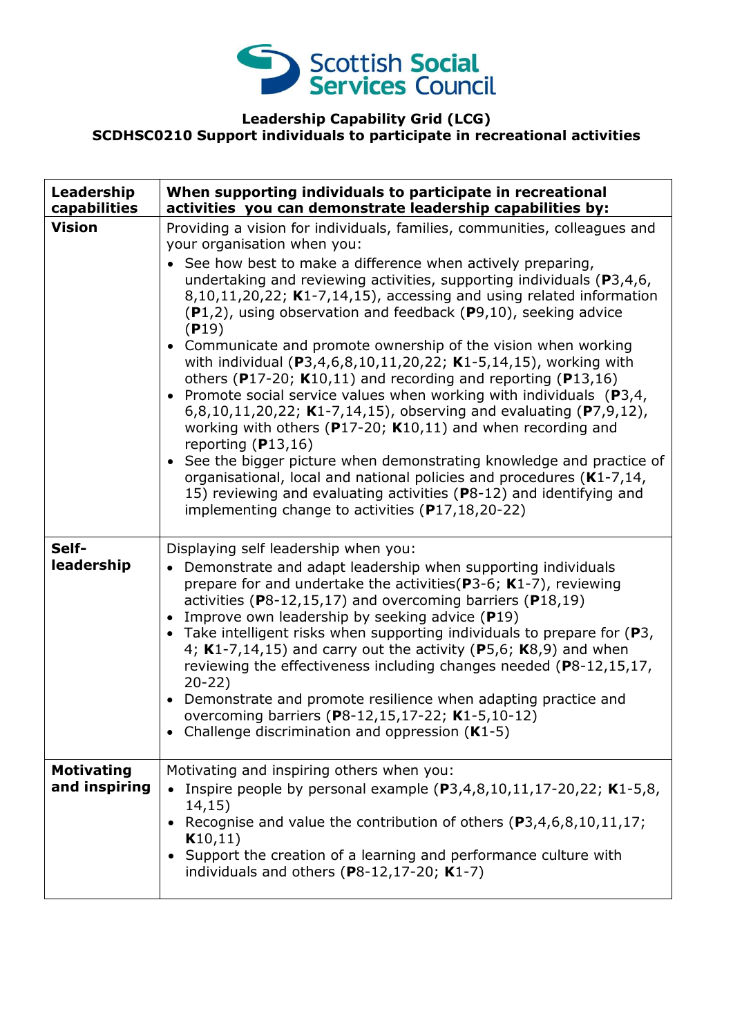

## **Leadership Capability Grid (LCG) SCDHSC0210 Support individuals to participate in recreational activities**

| Leadership<br>capabilities         | When supporting individuals to participate in recreational<br>activities you can demonstrate leadership capabilities by:                                                                                                                                                                                                                                                                                                                                                                                                                                                                                                                                                                                                                                                                                                                                                                                                                                                                                                                                                                                                                               |
|------------------------------------|--------------------------------------------------------------------------------------------------------------------------------------------------------------------------------------------------------------------------------------------------------------------------------------------------------------------------------------------------------------------------------------------------------------------------------------------------------------------------------------------------------------------------------------------------------------------------------------------------------------------------------------------------------------------------------------------------------------------------------------------------------------------------------------------------------------------------------------------------------------------------------------------------------------------------------------------------------------------------------------------------------------------------------------------------------------------------------------------------------------------------------------------------------|
| <b>Vision</b>                      | Providing a vision for individuals, families, communities, colleagues and<br>your organisation when you:<br>• See how best to make a difference when actively preparing,<br>undertaking and reviewing activities, supporting individuals ( $P3,4,6$ ,<br>$8,10,11,20,22$ ; K1-7,14,15), accessing and using related information<br>$(P1,2)$ , using observation and feedback $(P9,10)$ , seeking advice<br>(P19)<br>• Communicate and promote ownership of the vision when working<br>with individual (P3,4,6,8,10,11,20,22; K1-5,14,15), working with<br>others (P17-20; $K10,11$ ) and recording and reporting (P13,16)<br>• Promote social service values when working with individuals $(P3,4,$<br>6,8,10,11,20,22; K1-7,14,15), observing and evaluating (P7,9,12),<br>working with others ( $P17-20$ ; K10,11) and when recording and<br>reporting $(P13, 16)$<br>• See the bigger picture when demonstrating knowledge and practice of<br>organisational, local and national policies and procedures (K1-7,14,<br>15) reviewing and evaluating activities (P8-12) and identifying and<br>implementing change to activities $(P17, 18, 20 - 22)$ |
| Self-<br>leadership                | Displaying self leadership when you:<br>Demonstrate and adapt leadership when supporting individuals<br>prepare for and undertake the activities ( $P3-6$ ; K1-7), reviewing<br>activities ( $P8-12,15,17$ ) and overcoming barriers ( $P18,19$ )<br>Improve own leadership by seeking advice (P19)<br>• Take intelligent risks when supporting individuals to prepare for $(P3,$<br>4; $K1-7,14,15$ ) and carry out the activity (P5,6; $K8,9$ ) and when<br>reviewing the effectiveness including changes needed (P8-12,15,17,<br>$20-22)$<br>• Demonstrate and promote resilience when adapting practice and<br>overcoming barriers (P8-12,15,17-22; K1-5,10-12)<br>Challenge discrimination and oppression $(K1-5)$                                                                                                                                                                                                                                                                                                                                                                                                                                |
| <b>Motivating</b><br>and inspiring | Motivating and inspiring others when you:<br>• Inspire people by personal example $(P3, 4, 8, 10, 11, 17 - 20, 22; K1 - 5, 8,$<br>14,15)<br>Recognise and value the contribution of others (P3,4,6,8,10,11,17;<br>K10,11)<br>Support the creation of a learning and performance culture with<br>individuals and others $(P8-12, 17-20; K1-7)$                                                                                                                                                                                                                                                                                                                                                                                                                                                                                                                                                                                                                                                                                                                                                                                                          |